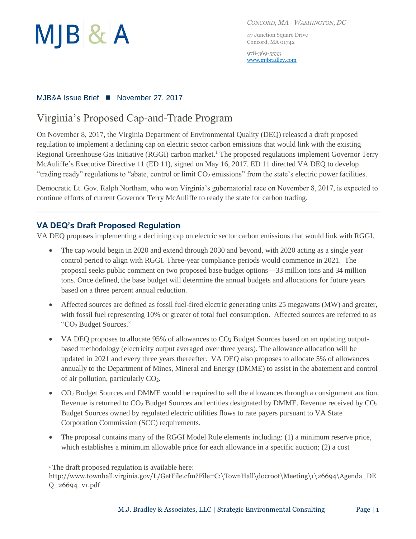

*CONCORD, MA - WASHINGTON, DC*

47 Junction Square Drive Concord, MA 01742

978-369-5533 [www.mjbradley.com](http://www.mjbradley.com/)

#### MJB&A Issue Brief ■ November 27, 2017

## Virginia's Proposed Cap-and-Trade Program

On November 8, 2017, the Virginia Department of Environmental Quality (DEQ) released a draft proposed regulation to implement a declining cap on electric sector carbon emissions that would link with the existing Regional Greenhouse Gas Initiative (RGGI) carbon market.<sup>1</sup> The proposed regulations implement Governor Terry McAuliffe's Executive Directive 11 (ED 11), signed on May 16, 2017. ED 11 directed VA DEQ to develop "trading ready" regulations to "abate, control or limit  $CO<sub>2</sub>$  emissions" from the state's electric power facilities.

Democratic Lt. Gov. Ralph Northam, who won Virginia's gubernatorial race on November 8, 2017, is expected to continue efforts of current Governor Terry McAuliffe to ready the state for carbon trading.

### **VA DEQ's Draft Proposed Regulation**

VA DEQ proposes implementing a declining cap on electric sector carbon emissions that would link with RGGI.

- The cap would begin in 2020 and extend through 2030 and beyond, with 2020 acting as a single year control period to align with RGGI. Three-year compliance periods would commence in 2021. The proposal seeks public comment on two proposed base budget options—33 million tons and 34 million tons. Once defined, the base budget will determine the annual budgets and allocations for future years based on a three percent annual reduction.
- Affected sources are defined as fossil fuel-fired electric generating units 25 megawatts (MW) and greater, with fossil fuel representing 10% or greater of total fuel consumption. Affected sources are referred to as "CO<sup>2</sup> Budget Sources."
- VA DEQ proposes to allocate 95% of allowances to CO<sub>2</sub> Budget Sources based on an updating outputbased methodology (electricity output averaged over three years). The allowance allocation will be updated in 2021 and every three years thereafter. VA DEQ also proposes to allocate 5% of allowances annually to the Department of Mines, Mineral and Energy (DMME) to assist in the abatement and control of air pollution, particularly  $CO<sub>2</sub>$ .
- CO<sup>2</sup> Budget Sources and DMME would be required to sell the allowances through a consignment auction. Revenue is returned to  $CO<sub>2</sub>$  Budget Sources and entities designated by DMME. Revenue received by  $CO<sub>2</sub>$ Budget Sources owned by regulated electric utilities flows to rate payers pursuant to VA State Corporation Commission (SCC) requirements.
- The proposal contains many of the RGGI Model Rule elements including: (1) a minimum reserve price, which establishes a minimum allowable price for each allowance in a specific auction; (2) a cost

 $\overline{a}$ 

<sup>&</sup>lt;sup>1</sup> The draft proposed regulation is available here:

http://www.townhall.virginia.gov/L/GetFile.cfm?File=C:\TownHall\docroot\Meeting\1\26694\Agenda\_DE Q\_26694\_v1.pdf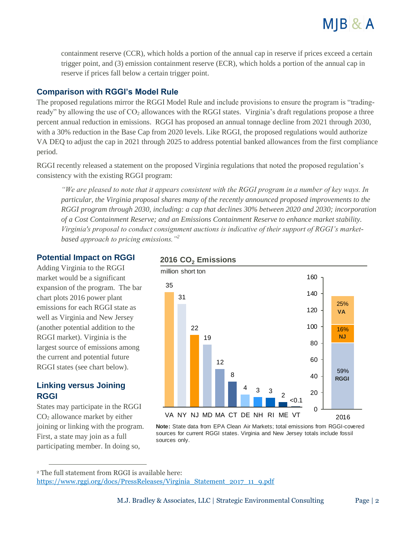

containment reserve (CCR), which holds a portion of the annual cap in reserve if prices exceed a certain trigger point, and (3) emission containment reserve (ECR), which holds a portion of the annual cap in reserve if prices fall below a certain trigger point.

#### **Comparison with RGGI's Model Rule**

The proposed regulations mirror the RGGI Model Rule and include provisions to ensure the program is "tradingready" by allowing the use of CO<sub>2</sub> allowances with the RGGI states. Virginia's draft regulations propose a three percent annual reduction in emissions. RGGI has proposed an annual tonnage decline from 2021 through 2030, with a 30% reduction in the Base Cap from 2020 levels. Like RGGI, the proposed regulations would authorize VA DEQ to adjust the cap in 2021 through 2025 to address potential banked allowances from the first compliance period.

RGGI recently released a statement on the proposed Virginia regulations that noted the proposed regulation's consistency with the existing RGGI program:

*"We are pleased to note that it appears consistent with the RGGI program in a number of key ways. In particular, the Virginia proposal shares many of the recently announced proposed improvements to the RGGI program through 2030, including: a cap that declines 30% between 2020 and 2030; incorporation of a Cost Containment Reserve; and an Emissions Containment Reserve to enhance market stability. Virginia's proposal to conduct consignment auctions is indicative of their support of RGGI's marketbased approach to pricing emissions."<sup>2</sup>*

#### **Potential Impact on RGGI**

Adding Virginia to the RGGI market would be a significant expansion of the program. The bar chart plots 2016 power plant emissions for each RGGI state as well as Virginia and New Jersey (another potential addition to the RGGI market). Virginia is the largest source of emissions among the current and potential future RGGI states (see chart below).

#### **Linking versus Joining RGGI**

 $\overline{a}$ 

States may participate in the RGGI CO<sup>2</sup> allowance market by either joining or linking with the program. First, a state may join as a full participating member. In doing so,

#### **2016 CO<sup>2</sup> Emissions**



**Note:** State data from EPA Clean Air Markets; total emissions from RGGI-covered sources for current RGGI states. Virginia and New Jersey totals include fossil sources only.

<sup>2</sup> The full statement from RGGI is available here:

[https://www.rggi.org/docs/PressReleases/Virginia\\_Statement\\_2017\\_11\\_9.pdf](https://www.rggi.org/docs/PressReleases/Virginia_Statement_2017_11_9.pdf)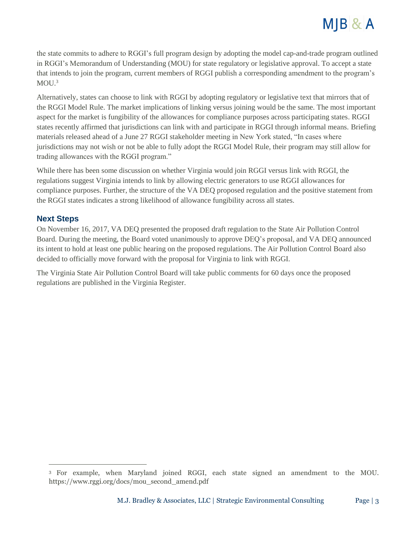# $M$   $B$  &  $A$

the state commits to adhere to RGGI's full program design by adopting the model cap-and-trade program outlined in RGGI's Memorandum of Understanding (MOU) for state regulatory or legislative approval. To accept a state that intends to join the program, current members of RGGI publish a corresponding amendment to the program's  $MOU.<sup>3</sup>$ 

Alternatively, states can choose to link with RGGI by adopting regulatory or legislative text that mirrors that of the RGGI Model Rule. The market implications of linking versus joining would be the same. The most important aspect for the market is fungibility of the allowances for compliance purposes across participating states. RGGI states recently affirmed that jurisdictions can link with and participate in RGGI through informal means. Briefing materials released ahead of a June 27 RGGI stakeholder meeting in New York stated, "In cases where jurisdictions may not wish or not be able to fully adopt the RGGI Model Rule, their program may still allow for trading allowances with the RGGI program."

While there has been some discussion on whether Virginia would join RGGI versus link with RGGI, the regulations suggest Virginia intends to link by allowing electric generators to use RGGI allowances for compliance purposes. Further, the structure of the VA DEQ proposed regulation and the positive statement from the RGGI states indicates a strong likelihood of allowance fungibility across all states.

#### **Next Steps**

 $\overline{a}$ 

On November 16, 2017, VA DEQ presented the proposed draft regulation to the State Air Pollution Control Board. During the meeting, the Board voted unanimously to approve DEQ's proposal, and VA DEQ announced its intent to hold at least one public hearing on the proposed regulations. The Air Pollution Control Board also decided to officially move forward with the proposal for Virginia to link with RGGI.

The Virginia State Air Pollution Control Board will take public comments for 60 days once the proposed regulations are published in the Virginia Register.

<sup>3</sup> For example, when Maryland joined RGGI, each state signed an amendment to the MOU. https://www.rggi.org/docs/mou\_second\_amend.pdf